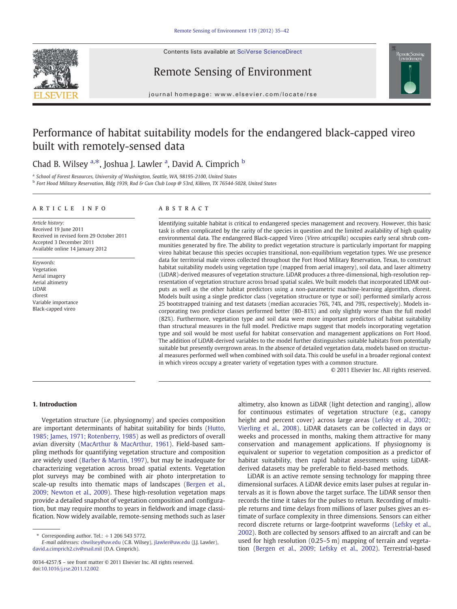Contents lists available at SciVerse ScienceDirect







journal homepage: www.elsevier.com/locate/rse

# Performance of habitat suitability models for the endangered black-capped vireo built with remotely-sensed data

## Chad B. Wilsey <sup>a,\*</sup>, Joshua J. Lawler <sup>a</sup>, David A. Cimprich <sup>b</sup>

<sup>a</sup> School of Forest Resources, University of Washington, Seattle, WA, 98195-2100, United States

<sup>b</sup> Fort Hood Military Reservation, Bldg 1939, Rod & Gun Club Loop @ 53rd, Killeen, TX 76544-5028, United States

#### article info abstract

Article history: Received 19 June 2011 Received in revised form 29 October 2011 Accepted 3 December 2011 Available online 14 January 2012

Keywords: Vegetation Aerial imagery Aerial altimetry LiDAR cforest Variable importance Black-capped vireo

Identifying suitable habitat is critical to endangered species management and recovery. However, this basic task is often complicated by the rarity of the species in question and the limited availability of high quality environmental data. The endangered Black-capped Vireo (Vireo atricapilla) occupies early seral shrub communities generated by fire. The ability to predict vegetation structure is particularly important for mapping vireo habitat because this species occupies transitional, non-equilibrium vegetation types. We use presence data for territorial male vireos collected throughout the Fort Hood Military Reservation, Texas, to construct habitat suitability models using vegetation type (mapped from aerial imagery), soil data, and laser altimetry (LiDAR)-derived measures of vegetation structure. LiDAR produces a three-dimensional, high-resolution representation of vegetation structure across broad spatial scales. We built models that incorporated LIDAR outputs as well as the other habitat predictors using a non-parametric machine-learning algorithm, cforest. Models built using a single predictor class (vegetation structure or type or soil) performed similarly across 25 bootstrapped training and test datasets (median accuracies 76%, 74%, and 79%, respectively). Models incorporating two predictor classes performed better (80–81%) and only slightly worse than the full model (82%). Furthermore, vegetation type and soil data were more important predictors of habitat suitability than structural measures in the full model. Predictive maps suggest that models incorporating vegetation type and soil would be most useful for habitat conservation and management applications on Fort Hood. The addition of LiDAR-derived variables to the model further distinguishes suitable habitats from potentially suitable but presently overgrown areas. In the absence of detailed vegetation data, models based on structural measures performed well when combined with soil data. This could be useful in a broader regional context in which vireos occupy a greater variety of vegetation types with a common structure.

© 2011 Elsevier Inc. All rights reserved.

#### 1. Introduction

Vegetation structure (i.e. physiognomy) and species composition are important determinants of habitat suitability for birds ([Hutto,](#page-6-0) [1985; James, 1971; Rotenberry, 1985](#page-6-0)) as well as predictors of overall avian diversity [\(MacArthur & MacArthur, 1961\)](#page-6-0). Field-based sampling methods for quantifying vegetation structure and composition are widely used ([Barber & Martin, 1997](#page-6-0)), but may be inadequate for characterizing vegetation across broad spatial extents. Vegetation plot surveys may be combined with air photo interpretation to scale-up results into thematic maps of landscapes ([Bergen et al.,](#page-6-0) [2009; Newton et al., 2009](#page-6-0)). These high-resolution vegetation maps provide a detailed snapshot of vegetation composition and configuration, but may require months to years in fieldwork and image classification. Now widely available, remote-sensing methods such as laser

altimetry, also known as LiDAR (light detection and ranging), allow for continuous estimates of vegetation structure (e.g., canopy height and percent cover) across large areas ([Lefsky et al., 2002;](#page-6-0) [Vierling et al., 2008\)](#page-6-0). LiDAR datasets can be collected in days or weeks and processed in months, making them attractive for many conservation and management applications. If physiognomy is equivalent or superior to vegetation composition as a predictor of habitat suitability, then rapid habitat assessments using LiDARderived datasets may be preferable to field-based methods.

LiDAR is an active remote sensing technology for mapping three dimensional surfaces. A LiDAR device emits laser pulses at regular intervals as it is flown above the target surface. The LiDAR sensor then records the time it takes for the pulses to return. Recording of multiple returns and time delays from millions of laser pulses gives an estimate of surface complexity in three dimensions. Sensors can either record discrete returns or large-footprint waveforms ([Lefsky et al.,](#page-6-0) [2002\)](#page-6-0). Both are collected by sensors affixed to an aircraft and can be used for high resolution (0.25–5 m) mapping of terrain and vegetation ([Bergen et al., 2009; Lefsky et al., 2002\)](#page-6-0). Terrestrial-based

Corresponding author. Tel.:  $+1$  206 543 5772.

E-mail addresses: [cbwilsey@uw.edu](mailto:cbwilsey@uw.edu) (C.B. Wilsey), [jlawler@uw.edu](mailto:jlawler@uw.edu) (J.J. Lawler), [david.a.cimprich2.civ@mail.mil](mailto:david.a.cimprich2.civ@mail.mil) (D.A. Cimprich).

<sup>0034-4257/\$</sup> – see front matter © 2011 Elsevier Inc. All rights reserved. doi:[10.1016/j.rse.2011.12.002](http://dx.doi.org/10.1016/j.rse.2011.12.002)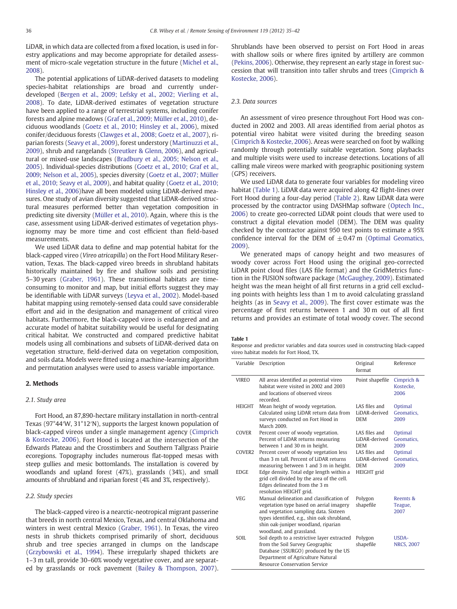<span id="page-1-0"></span>LiDAR, in which data are collected from a fixed location, is used in forestry applications and may become appropriate for detailed assessment of micro-scale vegetation structure in the future [\(Michel et al.,](#page-6-0) [2008\)](#page-6-0).

The potential applications of LiDAR-derived datasets to modeling species-habitat relationships are broad and currently underdeveloped ([Bergen et al., 2009; Lefsky et al., 2002; Vierling et al.,](#page-6-0) [2008\)](#page-6-0). To date, LiDAR-derived estimates of vegetation structure have been applied to a range of terrestrial systems, including conifer forests and alpine meadows ([Graf et al., 2009; Müller et al., 2010\)](#page-6-0), deciduous woodlands [\(Goetz et al., 2010; Hinsley et al., 2006\)](#page-6-0), mixed conifer/deciduous forests ([Clawges et al., 2008; Goetz et al., 2007\)](#page-6-0), riparian forests [\(Seavy et al., 2009\)](#page-7-0), forest understory ([Martinuzzi et al.,](#page-6-0) [2009\)](#page-6-0), shrub and rangelands ([Streutker & Glenn, 2006](#page-7-0)), and agricultural or mixed-use landscapes ([Bradbury et al., 2005; Nelson et al.,](#page-6-0) [2005\)](#page-6-0). Individual-species distributions ([Goetz et al., 2010; Graf et al.,](#page-6-0) [2009; Nelson et al., 2005](#page-6-0)), species diversity [\(Goetz et al., 2007; Müller](#page-6-0) [et al., 2010; Seavy et al., 2009\)](#page-6-0), and habitat quality [\(Goetz et al., 2010;](#page-6-0) [Hinsley et al., 2006\)](#page-6-0)have all been modeled using LiDAR-derived measures. One study of avian diversity suggested that LiDAR-derived structural measures performed better than vegetation composition in predicting site diversity ([Müller et al., 2010](#page-7-0)). Again, where this is the case, assessment using LiDAR-derived estimates of vegetation physiognomy may be more time and cost efficient than field-based measurements.

We used LiDAR data to define and map potential habitat for the black-capped vireo (Vireo atricapilla) on the Fort Hood Military Reservation, Texas. The black-capped vireo breeds in shrubland habitats historically maintained by fire and shallow soils and persisting 5–30 years ([Graber, 1961\)](#page-6-0). These transitional habitats are timeconsuming to monitor and map, but initial efforts suggest they may be identifiable with LiDAR surveys [\(Leyva et al., 2002\)](#page-6-0). Model-based habitat mapping using remotely-sensed data could save considerable effort and aid in the designation and management of critical vireo habitats. Furthermore, the black-capped vireo is endangered and an accurate model of habitat suitability would be useful for designating critical habitat. We constructed and compared predictive habitat models using all combinations and subsets of LiDAR-derived data on vegetation structure, field-derived data on vegetation composition, and soils data. Models were fitted using a machine-learning algorithm and permutation analyses were used to assess variable importance.

#### 2. Methods

#### 2.1. Study area

Fort Hood, an 87,890-hectare military installation in north-central Texas (97°44′W, 31°12′N), supports the largest known population of black-capped vireos under a single management agency ([Cimprich](#page-6-0) [& Kostecke, 2006](#page-6-0)). Fort Hood is located at the intersection of the Edwards Plateau and the Crosstimbers and Southern Tallgrass Prairie ecoregions. Topography includes numerous flat-topped mesas with steep gullies and mesic bottomlands. The installation is covered by woodlands and upland forest (47%), grasslands (34%), and small amounts of shrubland and riparian forest (4% and 3%, respectively).

#### 2.2. Study species

The black-capped vireo is a nearctic-neotropical migrant passerine that breeds in north central Mexico, Texas, and central Oklahoma and winters in west central Mexico ([Graber, 1961](#page-6-0)). In Texas, the vireo nests in shrub thickets comprised primarily of short, deciduous shrub and tree species arranged in clumps on the landscape [\(Grzybowski et al., 1994](#page-6-0)). These irregularly shaped thickets are 1–3 m tall, provide 30–60% woody vegetative cover, and are separated by grasslands or rock pavement [\(Bailey & Thompson, 2007](#page-6-0)). Shrublands have been observed to persist on Fort Hood in areas with shallow soils or where fires ignited by artillery are common [\(Pekins, 2006\)](#page-7-0). Otherwise, they represent an early stage in forest succession that will transition into taller shrubs and trees [\(Cimprich &](#page-6-0) [Kostecke, 2006](#page-6-0)).

#### 2.3. Data sources

An assessment of vireo presence throughout Fort Hood was conducted in 2002 and 2003. All areas identified from aerial photos as potential vireo habitat were visited during the breeding season [\(Cimprich & Kostecke, 2006\)](#page-6-0). Areas were searched on foot by walking randomly through potentially suitable vegetation. Song playbacks and multiple visits were used to increase detections. Locations of all calling male vireos were marked with geographic positioning system (GPS) receivers.

We used LiDAR data to generate four variables for modeling vireo habitat (Table 1). LiDAR data were acquired along 42 flight-lines over Fort Hood during a four-day period [\(Table 2](#page-2-0)). Raw LiDAR data were processed by the contractor using DASHMap software [\(Optech Inc.,](#page-7-0) [2006\)](#page-7-0) to create geo-corrected LiDAR point clouds that were used to construct a digital elevation model (DEM). The DEM was quality checked by the contractor against 950 test points to estimate a 95% confidence interval for the DEM of  $\pm$  0.47 m ([Optimal Geomatics,](#page-7-0) [2009\)](#page-7-0).

We generated maps of canopy height and two measures of woody cover across Fort Hood using the original geo-corrected LiDAR point cloud files (LAS file format) and the GridMetrics function in the FUSION software package ([McGaughey, 2009](#page-6-0)). Estimated height was the mean height of all first returns in a grid cell excluding points with heights less than 1 m to avoid calculating grassland heights (as in [Seavy et al., 2009\)](#page-7-0). The first cover estimate was the percentage of first returns between 1 and 30 m out of all first returns and provides an estimate of total woody cover. The second

#### Table 1

Response and predictor variables and data sources used in constructing black-capped vireo habitat models for Fort Hood, TX.

| Variable      | Description                                                                                                                                                                                                                                    | Original<br>format                           | Reference                         |
|---------------|------------------------------------------------------------------------------------------------------------------------------------------------------------------------------------------------------------------------------------------------|----------------------------------------------|-----------------------------------|
| <b>VIREO</b>  | All areas identified as potential vireo<br>habitat were visited in 2002 and 2003<br>and locations of observed vireos<br>recorded                                                                                                               | Point shapefile                              | Cimprich &<br>Kostecke.<br>2006   |
| <b>HEIGHT</b> | Mean height of woody vegetation.<br>Calculated using LiDAR return data from<br>surveys conducted on Fort Hood in<br>March 2009                                                                                                                 | LAS files and<br>LiDAR-derived<br><b>DEM</b> | Optimal<br>Geomatics.<br>2009     |
| <b>COVER</b>  | Percent cover of woody vegetation.<br>Percent of LiDAR returns measuring<br>between 1 and 30 m in height.                                                                                                                                      | LAS files and<br>LiDAR-derived<br><b>DEM</b> | Optimal<br>Geomatics,<br>2009     |
| COVER2        | Percent cover of woody vegetation less<br>than 3 m tall. Percent of LiDAR returns<br>measuring between 1 and 3 m in height.                                                                                                                    | LAS files and<br>LiDAR-derived<br><b>DEM</b> | Optimal<br>Geomatics.<br>2009     |
| <b>EDGE</b>   | Edge density. Total edge length within a<br>grid cell divided by the area of the cell.<br>Edges delineated from the 3 m<br>resolution HEIGHT grid.                                                                                             | <b>HEIGHT</b> grid                           |                                   |
| VEG           | Manual delineation and classification of<br>vegetation type based on aerial imagery<br>and vegetation sampling data. Sixteen<br>types identified, e.g., shin oak shrubland,<br>shin oak-juniper woodland, riparian<br>woodland, and grassland. | Polygon<br>shapefile                         | Reemts &<br>Teague,<br>2007       |
| SOIL.         | Soil depth to a restrictive layer extracted<br>from the Soil Survey Geographic<br>Database (SSURGO) produced by the US<br>Department of Agriculture Natural<br><b>Resource Conservation Service</b>                                            | Polygon<br>shapefile                         | <b>USDA-</b><br><b>NRCS, 2007</b> |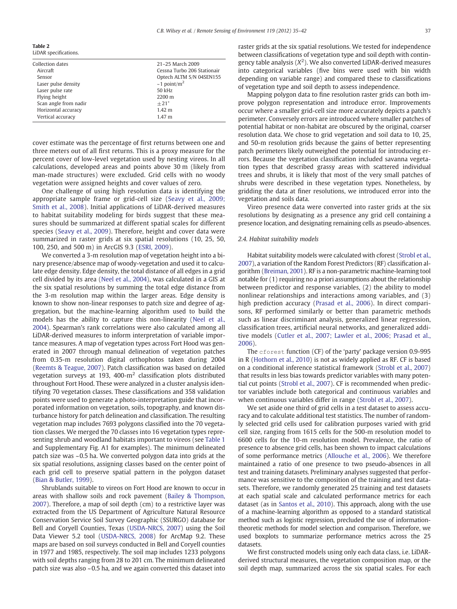<span id="page-2-0"></span>

| Table 2 |                    |
|---------|--------------------|
|         | I <sub>i</sub> DAD |

| LiDAR specifications. |                               |  |  |  |
|-----------------------|-------------------------------|--|--|--|
| Collection dates      | 21-25 March 2009              |  |  |  |
| Aircraft              | Cessna Turbo 206 Stationair   |  |  |  |
| Sensor                | Optech ALTM S/N 04SEN155      |  |  |  |
| Laser pulse density   | $\sim$ 1 point/m <sup>2</sup> |  |  |  |
| Laser pulse rate      | 50 kHz                        |  |  |  |
| Flying height         | $2200 \text{ m}$              |  |  |  |
| Scan angle from nadir | $+21^{\circ}$                 |  |  |  |
| Horizontal accuracy   | $1.42 \text{ m}$              |  |  |  |
| Vertical accuracy     | 1.47 <sub>m</sub>             |  |  |  |
|                       |                               |  |  |  |

cover estimate was the percentage of first returns between one and three meters out of all first returns. This is a proxy measure for the percent cover of low-level vegetation used by nesting vireos. In all calculations, developed areas and points above 30 m (likely from man-made structures) were excluded. Grid cells with no woody vegetation were assigned heights and cover values of zero.

One challenge of using high resolution data is identifying the appropriate sample frame or grid-cell size [\(Seavy et al., 2009;](#page-7-0) [Smith et al., 2008\)](#page-7-0). Initial applications of LiDAR-derived measures to habitat suitability modeling for birds suggest that these measures should be summarized at different spatial scales for different species ([Seavy et al., 2009](#page-7-0)). Therefore, height and cover data were summarized in raster grids at six spatial resolutions (10, 25, 50, 100, 250, and 500 m) in ArcGIS 9.3 ([ESRI, 2009](#page-6-0)).

We converted a 3-m resolution map of vegetation height into a binary presence/absence map of woody-vegetation and used it to calculate edge density. Edge density, the total distance of all edges in a grid cell divided by its area ([Neel et al., 2004](#page-7-0)), was calculated in a GIS at the six spatial resolutions by summing the total edge distance from the 3-m resolution map within the larger areas. Edge density is known to show non-linear responses to patch size and degree of aggregation, but the machine-learning algorithm used to build the models has the ability to capture this non-linearity [\(Neel et al.,](#page-7-0) [2004\)](#page-7-0). Spearman's rank correlations were also calculated among all LiDAR-derived measures to inform interpretation of variable importance measures. A map of vegetation types across Fort Hood was generated in 2007 through manual delineation of vegetation patches from 0.35-m resolution digital orthophotos taken during 2004 [\(Reemts & Teague, 2007](#page-7-0)). Patch classification was based on detailed vegetation surveys at 193, 400- $m<sup>2</sup>$  classification plots distributed throughout Fort Hood. These were analyzed in a cluster analysis identifying 70 vegetation classes. These classifications and 358 validation points were used to generate a photo-interpretation guide that incorporated information on vegetation, soils, topography, and known disturbance history for patch delineation and classification. The resulting vegetation map includes 7693 polygons classified into the 70 vegetation classes. We merged the 70 classes into 16 vegetation types representing shrub and woodland habitats important to vireos (see [Table 1](#page-1-0) and Supplementary Fig. A1 for examples). The minimum delineated patch size was ~0.5 ha. We converted polygon data into grids at the six spatial resolutions, assigning classes based on the center point of each grid cell to preserve spatial pattern in the polygon dataset [\(Bian & Butler, 1999\)](#page-6-0).

Shrublands suitable to vireos on Fort Hood are known to occur in areas with shallow soils and rock pavement [\(Bailey & Thompson,](#page-6-0) [2007\)](#page-6-0). Therefore, a map of soil depth (cm) to a restrictive layer was extracted from the US Department of Agriculture Natural Resource Conservation Service Soil Survey Geographic (SSURGO) database for Bell and Coryell Counties, Texas ([USDA-NRCS, 2007\)](#page-7-0) using the Soil Data Viewer 5.2 tool ([USDA-NRCS, 2008\)](#page-7-0) for ArcMap 9.2. These maps are based on soil surveys conducted in Bell and Coryell counties in 1977 and 1985, respectively. The soil map includes 1233 polygons with soil depths ranging from 28 to 201 cm. The minimum delineated patch size was also ~0.5 ha, and we again converted this dataset into raster grids at the six spatial resolutions. We tested for independence between classifications of vegetation type and soil depth with contingency table analysis  $(X^2)$ . We also converted LiDAR-derived measures into categorical variables (five bins were used with bin width depending on variable range) and compared these to classifications of vegetation type and soil depth to assess independence.

Mapping polygon data to fine resolution raster grids can both improve polygon representation and introduce error. Improvements occur where a smaller grid-cell size more accurately depicts a patch's perimeter. Conversely errors are introduced where smaller patches of potential habitat or non-habitat are obscured by the original, coarser resolution data. We chose to grid vegetation and soil data to 10, 25, and 50-m resolution grids because the gains of better representing patch perimeters likely outweighed the potential for introducing errors. Because the vegetation classification included savanna vegetation types that described grassy areas with scattered individual trees and shrubs, it is likely that most of the very small patches of shrubs were described in these vegetation types. Nonetheless, by gridding the data at finer resolutions, we introduced error into the vegetation and soils data.

Vireo presence data were converted into raster grids at the six resolutions by designating as a presence any grid cell containing a presence location, and designating remaining cells as pseudo-absences.

#### 2.4. Habitat suitability models

Habitat suitability models were calculated with cforest [\(Strobl et al.,](#page-7-0) [2007](#page-7-0)), a variation of the Random Forest Predictors (RF) classification algorithm [\(Breiman, 2001\)](#page-6-0). RF is a non-parametric machine-learning tool notable for (1) requiring no a priori assumptions about the relationship between predictor and response variables, (2) the ability to model nonlinear relationships and interactions among variables, and (3) high prediction accuracy ([Prasad et al., 2006\)](#page-7-0). In direct comparisons, RF performed similarly or better than parametric methods such as linear discriminant analysis, generalized linear regression, classification trees, artificial neural networks, and generalized additive models ([Cutler et al., 2007; Lawler et al., 2006; Prasad et al.,](#page-6-0) [2006](#page-6-0)).

The cforest function (CF) of the 'party' package version 0.9-995 in R ([Hothorn et al., 2010\)](#page-6-0) is not as widely applied as RF. CF is based on a conditional inference statistical framework [\(Strobl et al., 2007](#page-7-0)) that results in less bias towards predictor variables with many potential cut points ([Strobl et al., 2007\)](#page-7-0). CF is recommended when predictor variables include both categorical and continuous variables and when continuous variables differ in range ([Strobl et al., 2007](#page-7-0)).

We set aside one third of grid cells in a test dataset to assess accuracy and to calculate additional test statistics. The number of randomly selected grid cells used for calibration purposes varied with grid cell size, ranging from 1615 cells for the 500-m resolution model to 6600 cells for the 10-m resolution model. Prevalence, the ratio of presence to absence grid cells, has been shown to impact calculations of some performance metrics ([Allouche et al., 2006\)](#page-6-0). We therefore maintained a ratio of one presence to two pseudo-absences in all test and training datasets. Preliminary analyses suggested that performance was sensitive to the composition of the training and test datasets. Therefore, we randomly generated 25 training and test datasets at each spatial scale and calculated performance metrics for each dataset (as in [Santos et al., 2010](#page-7-0)). This approach, along with the use of a machine-learning algorithm as opposed to a standard statistical method such as logistic regression, precluded the use of informationtheoretic methods for model selection and comparison. Therefore, we used boxplots to summarize performance metrics across the 25 datasets.

We first constructed models using only each data class, i.e. LiDARderived structural measures, the vegetation composition map, or the soil depth map, summarized across the six spatial scales. For each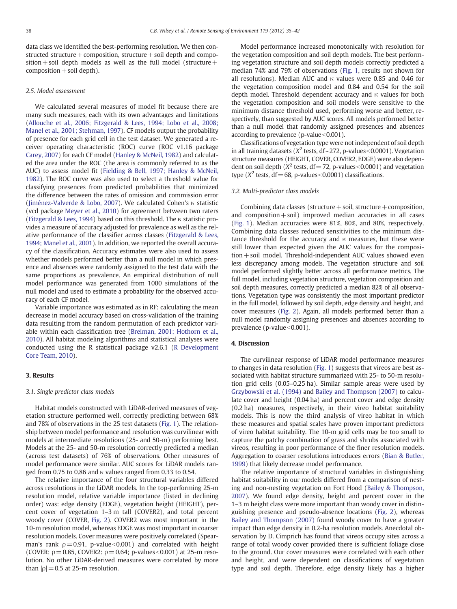data class we identified the best-performing resolution. We then constructed structure + composition, structure + soil depth and composition + soil depth models as well as the full model (structure +  $composition + soil depth$ .

#### 2.5. Model assessment

We calculated several measures of model fit because there are many such measures, each with its own advantages and limitations [\(Allouche et al., 2006; Fitzgerald & Lees, 1994; Lobo et al., 2008;](#page-6-0) [Manel et al., 2001; Stehman, 1997](#page-6-0)). CF models output the probability of presence for each grid cell in the test dataset. We generated a receiver operating characteristic (ROC) curve (ROC v1.16 package [Carey, 2007](#page-6-0)) for each CF model ([Hanley & McNeil, 1982](#page-6-0)) and calculated the area under the ROC (the area is commonly referred to as the AUC) to assess model fit [\(Fielding & Bell, 1997; Hanley & McNeil,](#page-6-0) [1982\)](#page-6-0). The ROC curve was also used to select a threshold value for classifying presences from predicted probabilities that minimized the difference between the rates of omission and commission error [\(Jiménez-Valverde & Lobo, 2007\)](#page-6-0). We calculated Cohen's κ statistic (vcd package [Meyer et al., 2010\)](#page-6-0) for agreement between two raters [\(Fitzgerald & Lees, 1994](#page-6-0)) based on this threshold. The κ statistic provides a measure of accuracy adjusted for prevalence as well as the relative performance of the classifier across classes [\(Fitzgerald & Lees,](#page-6-0) [1994; Manel et al., 2001](#page-6-0)). In addition, we reported the overall accuracy of the classification. Accuracy estimates were also used to assess whether models performed better than a null model in which presence and absences were randomly assigned to the test data with the same proportions as prevalence. An empirical distribution of null model performance was generated from 1000 simulations of the null model and used to estimate a probability for the observed accuracy of each CF model.

Variable importance was estimated as in RF: calculating the mean decrease in model accuracy based on cross-validation of the training data resulting from the random permutation of each predictor variable within each classification tree ([Breiman, 2001; Hothorn et al.,](#page-6-0) [2010\)](#page-6-0). All habitat modeling algorithms and statistical analyses were conducted using the R statistical package v2.6.1 ([R Development](#page-7-0) [Core Team, 2010\)](#page-7-0).

### 3. Results

#### 3.1. Single predictor class models

Habitat models constructed with LiDAR-derived measures of vegetation structure performed well, correctly predicting between 68% and 78% of observations in the 25 test datasets ([Fig. 1\)](#page-4-0). The relationship between model performance and resolution was curvilinear with models at intermediate resolutions (25- and 50-m) performing best. Models at the 25- and 50-m resolution correctly predicted a median (across test datasets) of 76% of observations. Other measures of model performance were similar. AUC scores for LiDAR models ranged from 0.75 to 0.86 and  $\kappa$  values ranged from 0.33 to 0.54.

The relative importance of the four structural variables differed across resolutions in the LiDAR models. In the top-performing 25-m resolution model, relative variable importance (listed in declining order) was: edge density (EDGE), vegetation height (HEIGHT), percent cover of vegetation 1–3 m tall (COVER2), and total percent woody cover (COVER, [Fig. 2](#page-5-0)). COVER2 was most important in the 10-m resolution model, whereas EDGE was most important in coarser resolution models. Cover measures were positively correlated (Spearman's rank  $\rho = 0.91$ , p-value < 0.001) and correlated with height (COVER:  $\rho = 0.85$ , COVER2:  $\rho = 0.64$ ; p-values < 0.001) at 25-m resolution. No other LiDAR-derived measures were correlated by more than  $|\rho|$  = 0.5 at 25-m resolution.

Model performance increased monotonically with resolution for the vegetation composition and soil depth models. The best performing vegetation structure and soil depth models correctly predicted a median 74% and 79% of observations ([Fig. 1,](#page-4-0) results not shown for all resolutions). Median AUC and κ values were 0.85 and 0.46 for the vegetation composition model and 0.84 and 0.54 for the soil depth model. Threshold dependent accuracy and κ values for both the vegetation composition and soil models were sensitive to the minimum distance threshold used, performing worse and better, respectively, than suggested by AUC scores. All models performed better than a null model that randomly assigned presences and absences according to prevalence ( $p$ -value $< 0.001$ ).

Classifications of vegetation type were not independent of soil depth in all training datasets ( $X^2$  tests, df ~272, p-values < 0.0001). Vegetation structure measures (HEIGHT, COVER, COVER2, EDGE) were also dependent on soil depth ( $X^2$  tests, df = 72, p-values < 0.0001) and vegetation type ( $X^2$  tests, df = 68, p-values < 0.0001) classifications.

#### 3.2. Multi-predictor class models

Combining data classes (structure  $+$  soil, structure  $+$  composition, and composition  $+$  soil) improved median accuracies in all cases [\(Fig. 1\)](#page-4-0). Median accuracies were 81%, 80%, and 80%, respectively. Combining data classes reduced sensitivities to the minimum distance threshold for the accuracy and  $\kappa$  measures, but these were still lower than expected given the AUC values for the composition+ soil model. Threshold-independent AUC values showed even less discrepancy among models. The vegetation structure and soil model performed slightly better across all performance metrics. The full model, including vegetation structure, vegetation composition and soil depth measures, correctly predicted a median 82% of all observations. Vegetation type was consistently the most important predictor in the full model, followed by soil depth, edge density and height, and cover measures ([Fig. 2](#page-5-0)). Again, all models performed better than a null model randomly assigning presences and absences according to prevalence (p-value<0.001).

#### 4. Discussion

The curvilinear response of LiDAR model performance measures to changes in data resolution [\(Fig. 1\)](#page-4-0) suggests that vireos are best associated with habitat structure summarized with 25- to 50-m resolution grid cells (0.05–0.25 ha). Similar sample areas were used by [Grzybowski et al. \(1994\)](#page-6-0) and [Bailey and Thompson \(2007\)](#page-6-0) to calculate cover and height (0.04 ha) and percent cover and edge density (0.2 ha) measures, respectively, in their vireo habitat suitability models. This is now the third analysis of vireo habitat in which these measures and spatial scales have proven important predictors of vireo habitat suitability. The 10-m grid cells may be too small to capture the patchy combination of grass and shrubs associated with vireos, resulting in poor performance of the finer resolution models. Aggregation to coarser resolutions introduces errors ([Bian & Butler,](#page-6-0) [1999\)](#page-6-0) that likely decrease model performance.

The relative importance of structural variables in distinguishing habitat suitability in our models differed from a comparison of nesting and non-nesting vegetation on Fort Hood ([Bailey & Thompson,](#page-6-0) [2007\)](#page-6-0). We found edge density, height and percent cover in the 1–3 m height class were more important than woody cover in distinguishing presence and pseudo-absence locations [\(Fig. 2](#page-5-0)), whereas [Bailey and Thompson \(2007\)](#page-6-0) found woody cover to have a greater impact than edge density in 0.2-ha resolution models. Anecdotal observation by D. Cimprich has found that vireos occupy sites across a range of total woody cover provided there is sufficient foliage close to the ground. Our cover measures were correlated with each other and height, and were dependent on classifications of vegetation type and soil depth. Therefore, edge density likely has a higher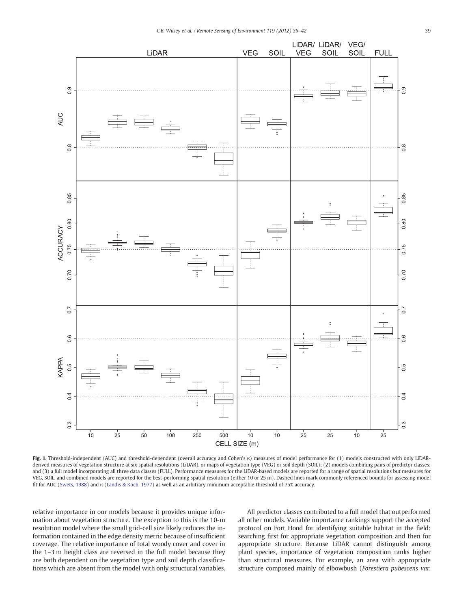<span id="page-4-0"></span>

Fig. 1. Threshold-independent (AUC) and threshold-dependent (overall accuracy and Cohen's κ) measures of model performance for (1) models constructed with only LiDARderived measures of vegetation structure at six spatial resolutions (LiDAR), or maps of vegetation type (VEG) or soil depth (SOIL); (2) models combining pairs of predictor classes; and (3) a full model incorporating all three data classes (FULL). Performance measures for the LiDAR-based models are reported for a range of spatial resolutions but measures for VEG, SOIL, and combined models are reported for the best-performing spatial resolution (either 10 or 25 m). Dashed lines mark commonly referenced bounds for assessing model fit for AUC [\(Swets, 1988](#page-7-0)) and κ [\(Landis & Koch, 1977\)](#page-6-0) as well as an arbitrary minimum acceptable threshold of 75% accuracy.

relative importance in our models because it provides unique information about vegetation structure. The exception to this is the 10-m resolution model where the small grid-cell size likely reduces the information contained in the edge density metric because of insufficient coverage. The relative importance of total woody cover and cover in the 1–3 m height class are reversed in the full model because they are both dependent on the vegetation type and soil depth classifications which are absent from the model with only structural variables.

All predictor classes contributed to a full model that outperformed all other models. Variable importance rankings support the accepted protocol on Fort Hood for identifying suitable habitat in the field: searching first for appropriate vegetation composition and then for appropriate structure. Because LiDAR cannot distinguish among plant species, importance of vegetation composition ranks higher than structural measures. For example, an area with appropriate structure composed mainly of elbowbush (Forestiera pubescens var.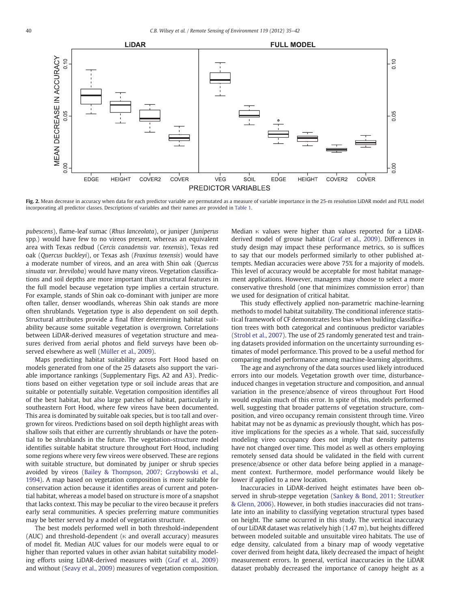<span id="page-5-0"></span>

Fig. 2. Mean decrease in accuracy when data for each predictor variable are permutated as a measure of variable importance in the 25-m resolution LiDAR model and FULL model incorporating all predictor classes. Descriptions of variables and their names are provided in [Table 1](#page-1-0).

pubescens), flame-leaf sumac (Rhus lanceolata), or juniper (Juniperus spp.) would have few to no vireos present, whereas an equivalent area with Texas redbud (Cercis canadensis var. texensis), Texas red oak (Quercus buckleyi), or Texas ash (Fraxinus texensis) would have a moderate number of vireos, and an area with Shin oak (Quercus sinuata var. breviloba) would have many vireos. Vegetation classifications and soil depths are more important than structural features in the full model because vegetation type implies a certain structure. For example, stands of Shin oak co-dominant with juniper are more often taller, denser woodlands, whereas Shin oak stands are more often shrublands. Vegetation type is also dependent on soil depth. Structural attributes provide a final filter determining habitat suitability because some suitable vegetation is overgrown. Correlations between LiDAR-derived measures of vegetation structure and measures derived from aerial photos and field surveys have been observed elsewhere as well [\(Müller et al., 2009\)](#page-7-0).

Maps predicting habitat suitability across Fort Hood based on models generated from one of the 25 datasets also support the variable importance rankings (Supplementary Figs. A2 and A3). Predictions based on either vegetation type or soil include areas that are suitable or potentially suitable. Vegetation composition identifies all of the best habitat, but also large patches of habitat, particularly in southeastern Fort Hood, where few vireos have been documented. This area is dominated by suitable oak species, but is too tall and overgrown for vireos. Predictions based on soil depth highlight areas with shallow soils that either are currently shrublands or have the potential to be shrublands in the future. The vegetation-structure model identifies suitable habitat structure throughout Fort Hood, including some regions where very few vireos were observed. These are regions with suitable structure, but dominated by juniper or shrub species avoided by vireos ([Bailey & Thompson, 2007; Grzybowski et al.,](#page-6-0) [1994\)](#page-6-0). A map based on vegetation composition is more suitable for conservation action because it identifies areas of current and potential habitat, whereas a model based on structure is more of a snapshot that lacks context. This may be peculiar to the vireo because it prefers early seral communities. A species preferring mature communities may be better served by a model of vegetation structure.

The best models performed well in both threshold-independent (AUC) and threshold-dependent (κ and overall accuracy) measures of model fit. Median AUC values for our models were equal to or higher than reported values in other avian habitat suitability modeling efforts using LiDAR-derived measures with ([Graf et al., 2009](#page-6-0)) and without ([Seavy et al., 2009](#page-7-0)) measures of vegetation composition. Median κ values were higher than values reported for a LiDARderived model of grouse habitat ([Graf et al., 2009](#page-6-0)). Differences in study design may impact these performance metrics, so is suffices to say that our models performed similarly to other published attempts. Median accuracies were above 75% for a majority of models. This level of accuracy would be acceptable for most habitat management applications. However, managers may choose to select a more conservative threshold (one that minimizes commission error) than we used for designation of critical habitat.

This study effectively applied non-parametric machine-learning methods to model habitat suitability. The conditional inference statistical framework of CF demonstrates less bias when building classification trees with both categorical and continuous predictor variables [\(Strobl et al., 2007](#page-7-0)). The use of 25 randomly generated test and training datasets provided information on the uncertainty surrounding estimates of model performance. This proved to be a useful method for comparing model performance among machine-learning algorithms.

The age and asynchrony of the data sources used likely introduced errors into our models. Vegetation growth over time, disturbanceinduced changes in vegetation structure and composition, and annual variation in the presence/absence of vireos throughout Fort Hood would explain much of this error. In spite of this, models performed well, suggesting that broader patterns of vegetation structure, composition, and vireo occupancy remain consistent through time. Vireo habitat may not be as dynamic as previously thought, which has positive implications for the species as a whole. That said, successfully modeling vireo occupancy does not imply that density patterns have not changed over time. This model as well as others employing remotely sensed data should be validated in the field with current presence/absence or other data before being applied in a management context. Furthermore, model performance would likely be lower if applied to a new location.

Inaccuracies in LiDAR-derived height estimates have been observed in shrub-steppe vegetation [\(Sankey & Bond, 2011; Streutker](#page-7-0) [& Glenn, 2006\)](#page-7-0). However, in both studies inaccuracies did not translate into an inability to classifying vegetation structural types based on height. The same occurred in this study. The vertical inaccuracy of our LiDAR dataset was relatively high (1.47 m), but heights differed between modeled suitable and unsuitable vireo habitats. The use of edge density, calculated from a binary map of woody vegetative cover derived from height data, likely decreased the impact of height measurement errors. In general, vertical inaccuracies in the LiDAR dataset probably decreased the importance of canopy height as a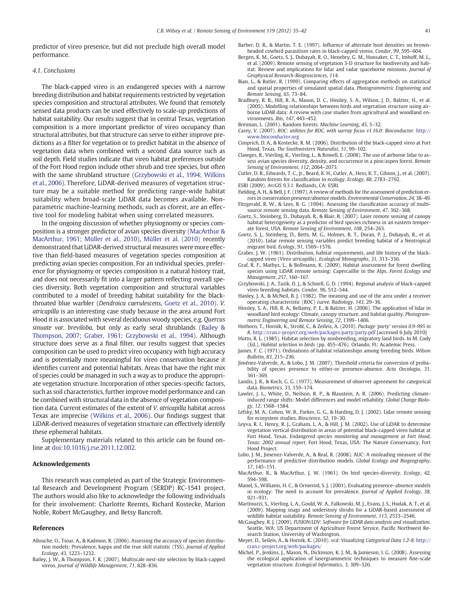<span id="page-6-0"></span>predictor of vireo presence, but did not preclude high overall model performance.

#### 4.1. Conclusions

The black-capped vireo is an endangered species with a narrow breeding distribution and habitat requirements restricted by vegetation species composition and structural attributes. We found that remotely sensed data products can be used effectively to scale-up predictions of habitat suitability. Our results suggest that in central Texas, vegetation composition is a more important predictor of vireo occupancy than structural attributes, but that structure can serve to either improve predictions as a filter for vegetation or to predict habitat in the absence of vegetation data when combined with a second data source such as soil depth. Field studies indicate that vireo habitat preferences outside of the Fort Hood region include other shrub and tree species, but often with the same shrubland structure (Grzybowski et al., 1994; Wilkins et al., 2006). Therefore, LiDAR-derived measures of vegetation structure may be a suitable method for predicting range-wide habitat suitability when broad-scale LiDAR data becomes available. Nonparametric machine-learning methods, such as cforest, are an effective tool for modeling habitat when using correlated measures.

In the ongoing discussion of whether physiognomy or species composition is a stronger predictor of avian species diversity (MacArthur & MacArthur, 1961; Müller et al., 2010), [Müller et al. \(2010\)](#page-7-0) recently demonstrated that LiDAR-derived structural measures were more effective than field-based measures of vegetation species composition at predicting avian species composition. For an individual species, preference for physiognomy or species composition is a natural history trait, and does not necessarily fit into a larger pattern reflecting overall species diversity. Both vegetation composition and structural variables contributed to a model of breeding habitat suitability for the blackthroated blue warbler (Dendroica caerulescens, Goetz et al., 2010). V. atricapilla is an interesting case study because in the area around Fort Hood it is associated with several deciduous woody species, e.g. Quercus sinuate var. breviloba, but only as early seral shrublands (Bailey & Thompson, 2007; Graber, 1961; Grzybowski et al., 1994). Although structure does serve as a final filter, our results suggest that species composition can be used to predict vireo occupancy with high accuracy and is potentially more meaningful for vireo conservation because it identifies current and potential habitats. Areas that have the right mix of species could be managed in such a way as to produce the appropriate vegetation structure. Incorporation of other species-specific factors, such as soil characteristics, further improve model performance and can be combined with structural data in the absence of vegetation composition data. Current estimates of the extent of V. atricapilla habitat across Texas are imprecise [\(Wilkins et al., 2006\)](#page-7-0). Our findings suggest that LiDAR-derived measures of vegetation structure can effectively identify these ephemeral habitats.

Supplementary materials related to this article can be found online at doi:10.1016/j.rse.2011.12.002.

#### Acknowledgements

This research was completed as part of the Strategic Environmental Research and Development Program (SERDP) RC-1541 project. The authors would also like to acknowledge the following individuals for their involvement: Charlotte Reemts, Richard Kostecke, Marion Noble, Robert McGaughey, and Betsy Bancroft.

#### References

- Allouche, O., Tsoar, A., & Kadmon, R. (2006). Assessing the accuracy of species distribution models: Prevalence, kappa and the true skill statistic (TSS). Journal of Applied Ecology, 43, 1223–1232.
- Bailey, J. W., & Thompson, F. R. (2007). Multiscale nest-site selection by black-capped vireos. Journal of Wildlife Management, 71, 828–836.
- Barber, D. R., & Martin, T. E. (1997). Influence of alternate host densities on brownheaded cowbird parasitism rates in black-capped vireos. Condor, 99, 595–604.
- Bergen, K. M., Goetz, S. J., Dubayah, R. O., Henebry, G. M., Hunsaker, C. T., Imhoff, M. L., et al. (2009). Remote sensing of vegetation 3-D structure for biodiversity and habitat: Review and implications for lidar and radar spaceborne missions. Journal of Geophysical Research-Biogeosciences, 114.
- Bian, L., & Butler, R. (1999). Comparing effects of aggregation methods on statistical and spatial properties of simulated spatial data. Photogrammetric Engineering and Remote Sensing, 65, 73–84.
- Bradbury, R. B., Hill, R. A., Mason, D. C., Hinsley, S. A., Wilson, J. D., Balzter, H., et al. (2005). Modelling relationships between birds and vegetation structure using airborne LiDAR data: A review with case studies from agricultural and woodland environments. Ibis, 147, 443–452.
- Breiman, L. (2001). Random forests. Machine Learning, 45, 5–32.
- Carey, V. (2007). ROC: utilities for ROC, with uarray focus v1.16.0: Bioconductor. [http://](http://www.bioconductor.org) [www.bioconductor.org](http://www.bioconductor.org)
- Cimprich, D. A., & Kostecke, R. M. (2006). Distribution of the black-capped vireo at Fort Hood, Texas. The Southwestern Naturalist, 51, 99–102.
- Clawges, R., Vierling, K., Vierling, L., & Rowell, E. (2008). The use of airborne lidar to assess avian species diversity, density, and occurrence in a pine/aspen forest. Remote Sensing of Environment, 112, 2064–2073.
- Cutler, D. R., Edwards, T. C., Jr., Beard, K. H., Cutler, A., Hess, K. T., Gibson, J., et al. (2007). Random forests for classification in ecology. Ecology, 88, 2783–2792.
- ESRI (2009). ArcGIS 9.3.1. Redlands, CA: ESRI.
- Fielding, A. H., & Bell, J. F. (1997). A review of methods for the assessment of prediction errors in conservation presence/absence models. Environmental Conservation, 24, 38–49. Fitzgerald, R. W., & Lees, B. G. (1994). Assessing the classification accuracy of multi-
- source remote sensing data. Remote Sensing of Environment, 47, 362–368.
- Goetz, S., Steinberg, D., Dubayah, R., & Blair, B. (2007). Laser remote sensing of canopy habitat heterogeneity as a predictor of bird species richness in an eastern temperate forest, USA. Remote Sensing of Environment, 108, 254–263.
- Goetz, S. J., Steinberg, D., Betts, M. G., Holmes, R. T., Doran, P. J., Dubayah, R., et al. (2010). Lidar remote sensing variables predict breeding habitat of a Neotropical migrant bird. Ecology, 91, 1569–1576.
- Graber, J. W. (1961). Distribution, habitat requirements, and life history of the blackcapped vireo (Vireo atricapilla). Ecological Monographs, 31, 313–336.
- Graf, R. F., Mathys, L., & Bollmann, K. (2009). Habitat assessment for forest dwelling species using LiDAR remote sensing: Capercaillie in the Alps. Forest Ecology and Management, 257, 160–167.
- Grzybowski, J. A., Tazik, D. J., & Schnell, G. D. (1994). Regional analysis of black-capped vireo breeding habitats. Condor, 96, 512–544.
- Hanley, J. A., & McNeil, B. J. (1982). The meaning and use of the area under a receiver operating characteristic (ROC) curve. Radiology, 143, 29–36.
- Hinsley, S. A., Hill, R. A., Bellamy, P. E., & Balzter, H. (2006). The application of lidar in woodland bird ecology: Climate, canopy structure, and habitat quality. Photogrammetric Engineering and Remote Sensing, 72, 1399–1406.
- Hothorn, T., Hornik, K., Strobl, C., & Zeileis, A. (2010). Package 'party' version 0.9-995 in R. <http://cran.r-project.org/web/packages/party/party.pdf> [accessed 6 July 2010]
- Hutto, R. L. (1985). Habitat selection by nonbreeding, migratory land birds. In M. Cody (Ed.), Habitat selection in birds (pp. 455–476). Orlando, FL: Academic Press. James, F. C. (1971). Ordinations of habitat relationships among breeding birds. Wilson
- Bulletin, 83, 215–236.
- Jiménez-Valverde, A., & Lobo, J. M. (2007). Threshold criteria for conversion of probability of species presence to either-or presence-absence. Acta Oecologia, 31, 361–369.
- Landis, J. R., & Koch, G. G. (1977). Measurement of observer agreement for categorical data. Biometrics, 33, 159–174.
- Lawler, J. L., White, D., Neilson, R. P., & Blaustein, A. R. (2006). Predicting climateinduced range shifts: Model differences and model reliability. Global Change Biology, 12, 1568–1584.
- Lefsky, M. A., Cohen, W. B., Parker, G. G., & Harding, D. J. (2002). Lidar remote sensing for ecosystem studies. Bioscience, 52, 19–30.
- Leyva, R. I., Henry, R. J., Graham, L. A., & Hill, J. M. (2002). Use of LiDAR to determine vegetation vertical distribution in areas of potential black-capped vireo habitat at Fort Hood, Texas. Endangered species monitoring and management at Fort Hood, Texas: 2002 annual report. Fort Hood, Texas, USA: The Nature Conservancy, Fort Hood Project.
- Lobo, J. M., Jimenez-Valverde, A., & Real, R. (2008). AUC: A misleading measure of the performance of predictive distribution models. Global Ecology and Biogeography, 17, 145–151.
- MacArthur, R., & MacArthur, J. W. (1961). On bird species-diversity. Ecology, 42, 594–598.
- Manel, S., Williams, H. C., & Ormerod, S. J. (2001). Evaluating presence–absence models in ecology: The need to account for prevalence. Journal of Applied Ecology, 38, 921–931.
- Martinuzzi, S., Vierling, L. A., Gould, W. A., Falkowski, M. J., Evans, J. S., Hudak, A. T., et al. (2009). Mapping snags and understory shrubs for a LiDAR-based assessment of wildlife habitat suitability. Remote Sensing of Environment, 113, 2533–2546.
- McGaughey, R. J. (2009). FUSION/LDV: Software for LIDAR data analysis and visualization. Seattle, WA: US Department of Agriculture Forest Service, Pacific Northwest Research Station, University of Washington.
- Meyer, D., Seileis, A., & Hornik, K. (2010). vcd: Visualizing Categorical Data 1.2-8. [http://](http://cran.r-project.org/web/packages/) [cran.r-project.org/web/packages/](http://cran.r-project.org/web/packages/)
- Michel, P., Jenkins, J., Mason, N., Dickinson, K. J. M., & Jamieson, I. G. (2008). Assessing the ecological application of lasergrammetric techniques to measure fine-scale vegetation structure. Ecological Informatics, 3, 309–320.